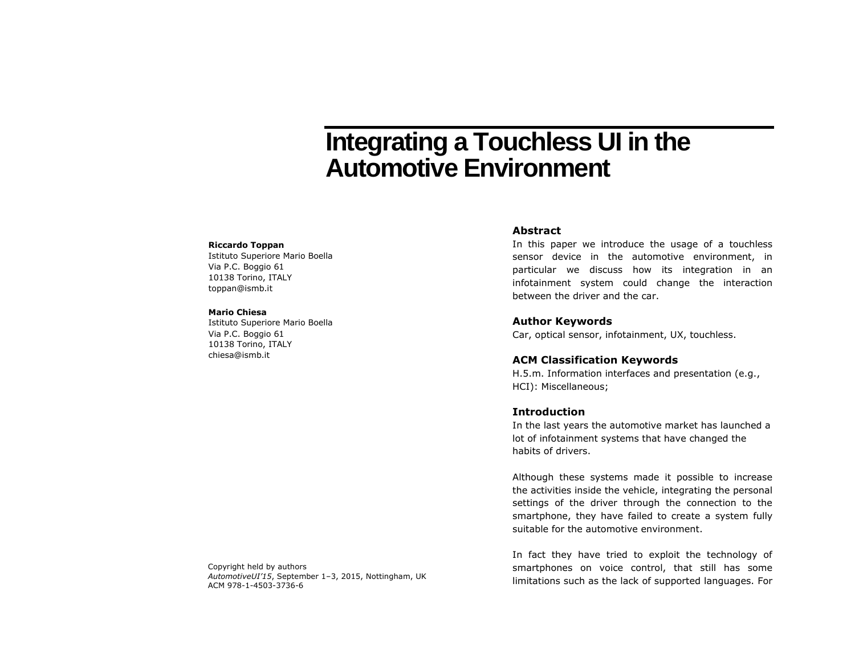# **Integrating a Touchless UI in the Automotive Environment**

#### **Riccardo Toppan**

Istituto Superiore Mario Boella Via P.C. Boggio 61 10138 Torino, ITALY toppan@ismb.it

#### **Mario Chiesa**

Istituto Superiore Mario Boella Via P.C. Boggio 61 10138 Torino, ITALY chiesa@ismb.it

### **Abstract**

In this paper we introduce the usage of a touchless sensor device in the automotive environment, in particular we discuss how its integration in an infotainment system could change the interaction between the driver and the car.

## **Author Keywords**

Car, optical sensor, infotainment, UX, touchless.

## **ACM Classification Keywords**

H.5.m. Information interfaces and presentation (e.g., HCI): Miscellaneous;

# **Introduction**

In the last years the automotive market has launched a lot of infotainment systems that have changed the habits of drivers.

Although these systems made it possible to increase the activities inside the vehicle, integrating the personal settings of the driver through the connection to the smartphone, they have failed to create a system fully suitable for the automotive environment.

In fact they have tried to exploit the technology of smartphones on voice control, that still has some limitations such as the lack of supported languages. For

Copyright held by authors *AutomotiveUI'15*, September 1–3, 2015, Nottingham, UK ACM 978-1-4503-3736-6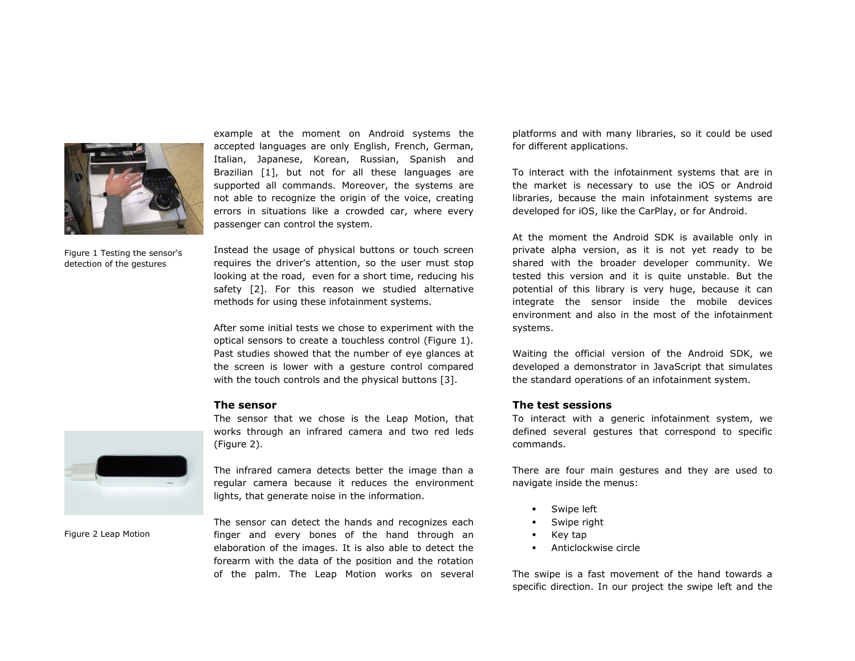

example at the moment on Android systems the accepted languages are only English, French, German, Italian, Japanese, Korean, Russian, Spanish and Brazilian [1], but not for all these languages are supported all commands. Moreover, the systems are not able to recognize the origin of the voice, creating errors in situations like a crowded car, where every passenger can control the system.

Figure 1 Testing the sensor's detection of the gestures

Instead the usage of physical buttons or touch screen requires the driver's attention, so the user must stop looking at the road, even for a short time, reducing his safety [2]. For this reason we studied alternative methods for using these infotainment systems.

After some initial tests we chose to experiment with the optical sensors to create a touchless control (Figure 1). Past studies showed that the number of eye glances at the screen is lower with a gesture control compared with the touch controls and the physical buttons [3].

# **The sensor**

The sensor that we chose is the Leap Motion, that works through an infrared camera and two red leds (Figure 2).



Figure 2 Leap Motion

The infrared camera detects better the image than a regular camera because it reduces the environment lights, that generate noise in the information.

The sensor can detect the hands and recognizes each finger and every bones of the hand through an elaboration of the images. It is also able to detect the forearm with the data of the position and the rotation of the palm. The Leap Motion works on several

platforms and with many libraries, so it could be used for different applications.

To interact with the infotainment systems that are in the market is necessary to use the iOS or Android libraries, because the main infotainment systems are developed for iOS, like the CarPlay, or for Android.

At the moment the Android SDK is available only in private alpha version, as it is not yet ready to be shared with the broader developer community. We tested this version and it is quite unstable. But the potential of this library is very huge, because it can integrate the sensor inside the mobile devices environment and also in the most of the infotainment systems.

Waiting the official version of the Android SDK, we developed a demonstrator in JavaScript that simulates the standard operations of an infotainment system.

## **The test sessions**

To interact with a generic infotainment system, we defined several gestures that correspond to specific commands.

There are four main gestures and they are used to navigate inside the menus:

- Swipe left
- Swipe right
- **Key tap**
- Anticlockwise circle

The swipe is a fast movement of the hand towards a specific direction. In our project the swipe left and the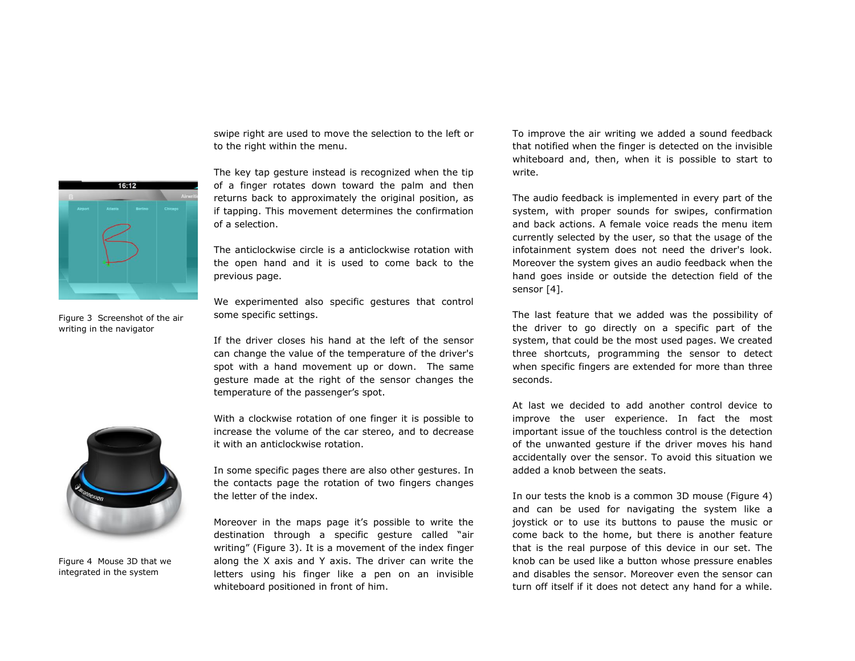swipe right are used to move the selection to the left or to the right within the menu.



Figure 3 Screenshot of the air writing in the navigator



Figure 4 Mouse 3D that we integrated in the system

The key tap gesture instead is recognized when the tip of a finger rotates down toward the palm and then returns back to approximately the original position, as if tapping. This movement determines the confirmation of a selection.

The anticlockwise circle is a anticlockwise rotation with the open hand and it is used to come back to the previous page.

We experimented also specific gestures that control some specific settings.

If the driver closes his hand at the left of the sensor can change the value of the temperature of the driver's spot with a hand movement up or down. The same gesture made at the right of the sensor changes the temperature of the passenger's spot.

With a clockwise rotation of one finger it is possible to increase the volume of the car stereo, and to decrease it with an anticlockwise rotation.

In some specific pages there are also other gestures. In the contacts page the rotation of two fingers changes the letter of the index.

Moreover in the maps page it's possible to write the destination through a specific gesture called "air writing" (Figure 3). It is a movement of the index finger along the X axis and Y axis. The driver can write the letters using his finger like a pen on an invisible whiteboard positioned in front of him.

To improve the air writing we added a sound feedback that notified when the finger is detected on the invisible whiteboard and, then, when it is possible to start to write.

The audio feedback is implemented in every part of the system, with proper sounds for swipes, confirmation and back actions. A female voice reads the menu item currently selected by the user, so that the usage of the infotainment system does not need the driver's look. Moreover the system gives an audio feedback when the hand goes inside or outside the detection field of the sensor [4].

The last feature that we added was the possibility of the driver to go directly on a specific part of the system, that could be the most used pages. We created three shortcuts, programming the sensor to detect when specific fingers are extended for more than three seconds.

At last we decided to add another control device to improve the user experience. In fact the most important issue of the touchless control is the detection of the unwanted gesture if the driver moves his hand accidentally over the sensor. To avoid this situation we added a knob between the seats.

In our tests the knob is a common 3D mouse (Figure 4) and can be used for navigating the system like a joystick or to use its buttons to pause the music or come back to the home, but there is another feature that is the real purpose of this device in our set. The knob can be used like a button whose pressure enables and disables the sensor. Moreover even the sensor can turn off itself if it does not detect any hand for a while.